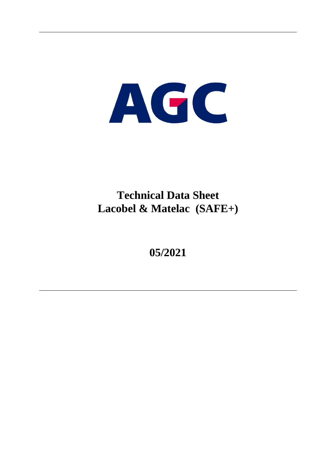# AGC

# **Technical Data Sheet Lacobel & Matelac (SAFE+)**

**05/2021**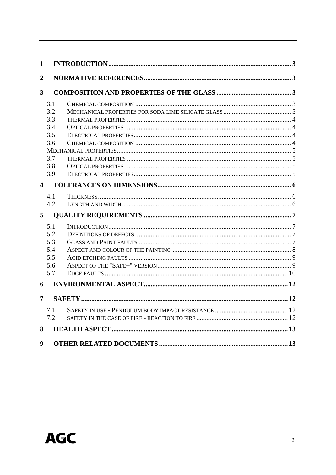| 1              |                         |  |  |
|----------------|-------------------------|--|--|
| $\overline{2}$ |                         |  |  |
| $\overline{3}$ |                         |  |  |
|                | 3.1                     |  |  |
|                | 3.2                     |  |  |
|                | 3.3                     |  |  |
|                | 3.4                     |  |  |
|                | 3.5                     |  |  |
|                | 3.6                     |  |  |
|                | 3.7                     |  |  |
|                | 3.8                     |  |  |
|                | 3.9                     |  |  |
|                | $\overline{\mathbf{4}}$ |  |  |
|                |                         |  |  |
|                | 4.1<br>4.2              |  |  |
|                |                         |  |  |
| 5 <sup>5</sup> |                         |  |  |
|                | 5.1                     |  |  |
|                | 5.2                     |  |  |
|                | 5.3                     |  |  |
|                | 5.4                     |  |  |
|                | 5.5                     |  |  |
|                | 5.6                     |  |  |
|                | 5.7                     |  |  |
| 6              |                         |  |  |
| $\overline{7}$ |                         |  |  |
|                | 7.1                     |  |  |
|                | 7.2                     |  |  |
| 8              |                         |  |  |
| 9              |                         |  |  |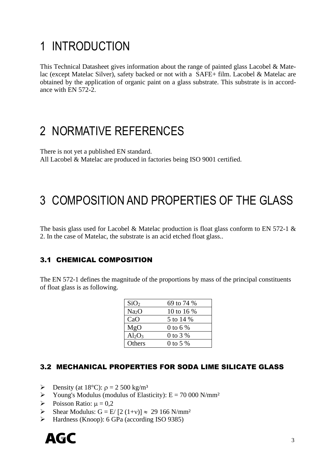# <span id="page-2-0"></span>1 INTRODUCTION

This Technical Datasheet gives information about the range of painted glass Lacobel & Matelac (except Matelac Silver), safety backed or not with a SAFE+ film. Lacobel & Matelac are obtained by the application of organic paint on a glass substrate. This substrate is in accordance with EN 572-2.

# <span id="page-2-1"></span>2 NORMATIVE REFERENCES

There is not yet a published EN standard. All Lacobel & Matelac are produced in factories being ISO 9001 certified.

# <span id="page-2-2"></span>3 COMPOSITION AND PROPERTIES OF THE GLASS

The basis glass used for Lacobel & Matelac production is float glass conform to EN 572-1 & 2. In the case of Matelac, the substrate is an acid etched float glass..

## <span id="page-2-3"></span>3.1 CHEMICAL COMPOSITION

The EN 572-1 defines the magnitude of the proportions by mass of the principal constituents of float glass is as following.

| SiO <sub>2</sub>  | 69 to 74 % |
|-------------------|------------|
| Na <sub>2</sub> O | 10 to 16 % |
| CaO               | 5 to 14 %  |
| MgO               | 0 to 6 $%$ |
| $Al_2O_3$         | 0 to 3 %   |
| Others            | 0 to 5 $%$ |

#### <span id="page-2-4"></span>3.2 MECHANICAL PROPERTIES FOR SODA LIME SILICATE GLASS

- $\triangleright$  Density (at 18°C):  $\rho = 2500 \text{ kg/m}^3$
- $\triangleright$  Young's Modulus (modulus of Elasticity): E = 70 000 N/mm<sup>2</sup>
- $\triangleright$  Poisson Ratio:  $\mu = 0.2$
- $\triangleright$  Shear Modulus: G = E/ [2 (1+v)]  $\approx$  29 166 N/mm<sup>2</sup>
- ➢ Hardness (Knoop): 6 GPa (according ISO 9385)

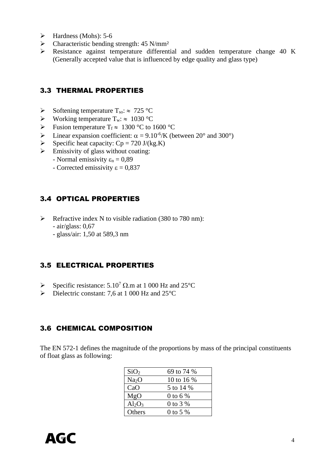- $\blacktriangleright$  Hardness (Mohs): 5-6
- $\triangleright$  Characteristic bending strength: 45 N/mm<sup>2</sup>
- ➢ Resistance against temperature differential and sudden temperature change 40 K (Generally accepted value that is influenced by edge quality and glass type)

#### <span id="page-3-0"></span>3.3 THERMAL PROPERTIES

- $\triangleright$  Softening temperature T<sub>so</sub>:  $\approx$  725 °C
- $\triangleright$  Working temperature T<sub>w</sub>:  $\approx 1030$  °C
- $\triangleright$  Fusion temperature T<sub>f</sub>  $\approx 1300$  °C to 1600 °C
- $\triangleright$  Linear expansion coefficient:  $\alpha = 9.10^{-6}$ /K (between 20° and 300°)
- $\triangleright$  Specific heat capacity: Cp = 720 J/(kg.K)
- $\triangleright$  Emissivity of glass without coating:
	- Normal emissivity  $\varepsilon_n = 0.89$
	- Corrected emissivity  $\varepsilon = 0.837$

#### <span id="page-3-1"></span>3.4 OPTICAL PROPERTIES

- ➢ Refractive index N to visible radiation (380 to 780 nm): - air/glass: 0,67
	- glass/air: 1,50 at 589,3 nm

#### <span id="page-3-2"></span>3.5 ELECTRICAL PROPERTIES

- $\triangleright$  Specific resistance: 5.10<sup>7</sup>  $\Omega$  m at 1 000 Hz and 25<sup>o</sup>C
- ➢ Dielectric constant: 7,6 at 1 000 Hz and 25°C

#### <span id="page-3-3"></span>3.6 CHEMICAL COMPOSITION

The EN 572-1 defines the magnitude of the proportions by mass of the principal constituents of float glass as following:

| SiO <sub>2</sub>  | 69 to 74 %   |
|-------------------|--------------|
| Na <sub>2</sub> O | 10 to 16 $%$ |
| CaO               | 5 to 14 %    |
| MgO               | 0 to 6 $%$   |
| $Al_2O_3$         | 0 to 3 $%$   |
| Others            | $0$ to 5 %   |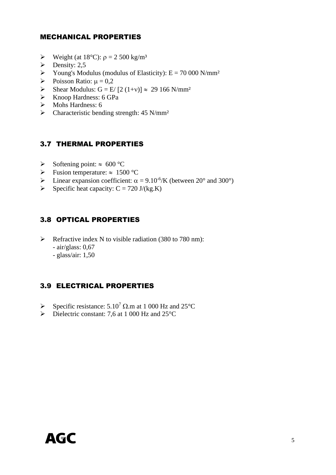#### <span id="page-4-0"></span>MECHANICAL PROPERTIES

- $\triangleright$  Weight (at 18°C):  $\rho = 2500 \text{ kg/m}^3$
- $\triangleright$  Density: 2,5
- $\triangleright$  Young's Modulus (modulus of Elasticity): E = 70 000 N/mm<sup>2</sup>
- $\triangleright$  Poisson Ratio:  $\mu = 0.2$
- $\triangleright$  Shear Modulus: G = E/ [2 (1+v)]  $\approx$  29 166 N/mm<sup>2</sup>
- ➢ Knoop Hardness: 6 GPa
- ➢ Mohs Hardness: 6
- $\triangleright$  Characteristic bending strength: 45 N/mm<sup>2</sup>

#### <span id="page-4-1"></span>3.7 THERMAL PROPERTIES

- $\triangleright$  Softening point:  $\approx 600 \degree C$
- $\triangleright$  Fusion temperature:  $\approx 1500$  °C
- $\triangleright$  Linear expansion coefficient:  $\alpha = 9.10^{-6}$ /K (between 20° and 300°)
- $\triangleright$  Specific heat capacity: C = 720 J/(kg.K)

#### <span id="page-4-2"></span>3.8 OPTICAL PROPERTIES

- ➢ Refractive index N to visible radiation (380 to 780 nm): - air/glass: 0,67
	- glass/air: 1,50

#### <span id="page-4-3"></span>3.9 ELECTRICAL PROPERTIES

- $\triangleright$  Specific resistance: 5.10<sup>7</sup>  $\Omega$  m at 1 000 Hz and 25<sup>o</sup>C
- $\triangleright$  Dielectric constant: 7,6 at 1 000 Hz and 25 °C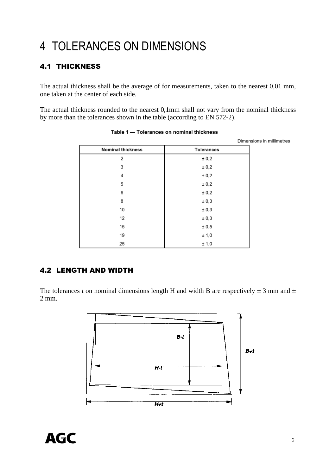# <span id="page-5-0"></span>4 TOLERANCES ON DIMENSIONS

# <span id="page-5-1"></span>4.1 THICKNESS

The actual thickness shall be the average of for measurements, taken to the nearest 0,01 mm, one taken at the center of each side.

The actual thickness rounded to the nearest 0,1mm shall not vary from the nominal thickness by more than the tolerances shown in the table (according to EN 572-2).

|                          |                   | Dimensions in millimetres |
|--------------------------|-------------------|---------------------------|
| <b>Nominal thickness</b> | <b>Tolerances</b> |                           |
| 2                        | ± 0,2             |                           |
| 3                        | ± 0,2             |                           |
| 4                        | ± 0,2             |                           |
| 5                        | ± 0,2             |                           |
| 6                        | ± 0,2             |                           |
| 8                        | ± 0,3             |                           |
| 10                       | ± 0,3             |                           |
| 12                       | ± 0,3             |                           |
| 15                       | ± 0,5             |                           |
| 19                       | ± 1,0             |                           |
| 25                       | ± 1,0             |                           |

Table 1 - Tolerances on nominal thickness

## <span id="page-5-2"></span>4.2 LENGTH AND WIDTH

The tolerances *t* on nominal dimensions length H and width B are respectively  $\pm$  3 mm and  $\pm$ 2 mm.

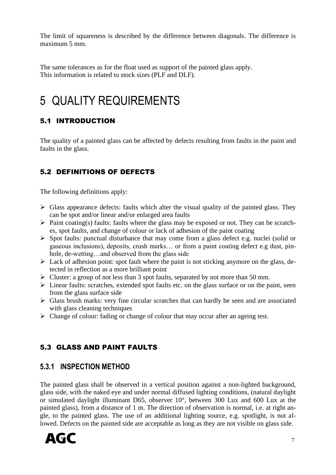The limit of squareness is described by the difference between diagonals. The difference is maximum 5 mm.

The same tolerances as for the float used as support of the painted glass apply. This information is related to stock sizes (PLF and DLF).

# <span id="page-6-0"></span>5 QUALITY REQUIREMENTS

# <span id="page-6-1"></span>5.1 INTRODUCTION

The quality of a painted glass can be affected by defects resulting from faults in the paint and faults in the glass.

# <span id="page-6-2"></span>5.2 DEFINITIONS OF DEFECTS

The following definitions apply:

- $\triangleright$  Glass appearance defects: faults which alter the visual quality of the painted glass. They can be spot and/or linear and/or enlarged area faults
- $\triangleright$  Paint coating(s) faults: faults where the glass may be exposed or not. They can be scratches, spot faults, and change of colour or lack of adhesion of the paint coating
- ➢ Spot faults: punctual disturbance that may come from a glass defect e.g. nuclei (solid or gaseous inclusions), deposits, crush marks… or from a paint coating defect e.g dust, pinhole, de-wetting…and observed from the glass side
- $\triangleright$  Lack of adhesion point: spot fault where the paint is not sticking anymore on the glass, detected in reflection as a more brilliant point
- ➢ Cluster: a group of not less than 3 spot faults, separated by not more than 50 mm.
- ➢ Linear faults: scratches, extended spot faults etc. on the glass surface or on the paint, seen from the glass surface side
- $\triangleright$  Glass brush marks: very fine circular scratches that can hardly be seen and are associated with glass cleaning techniques
- ➢ Change of colour: fading or change of colour that may occur after an ageing test.

# <span id="page-6-3"></span>5.3 GLASS AND PAINT FAULTS

## **5.3.1 INSPECTION METHOD**

The painted glass shall be observed in a vertical position against a non-lighted background, glass side, with the naked eye and under normal diffused lighting conditions, (natural daylight or simulated daylight illuminant D65, observer 10°, between 300 Lux and 600 Lux at the painted glass), from a distance of 1 m. The direction of observation is normal, i.e. at right angle, to the painted glass. The use of an additional lighting source, e.g. spotlight, is not allowed. Defects on the painted side are acceptable as long as they are not visible on glass side.

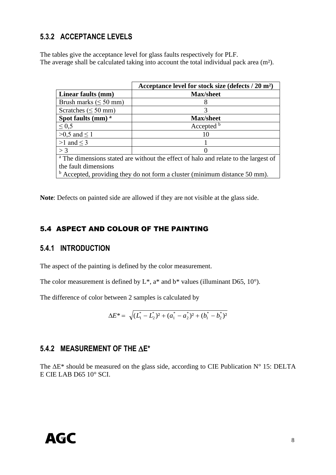## **5.3.2 ACCEPTANCE LEVELS**

The tables give the acceptance level for glass faults respectively for PLF. The average shall be calculated taking into account the total individual pack area (m²).

|                                                                                                | Acceptance level for stock size (defects $/ 20$ m <sup>2</sup> ) |  |
|------------------------------------------------------------------------------------------------|------------------------------------------------------------------|--|
| Linear faults (mm)                                                                             | <b>Max/sheet</b>                                                 |  |
| Brush marks ( $\leq 50$ mm)                                                                    | 8                                                                |  |
| Scratches ( $\leq$ 50 mm)                                                                      | 3                                                                |  |
| Spot faults (mm) <sup>a</sup>                                                                  | <b>Max/sheet</b>                                                 |  |
| $\leq 0.5$                                                                                     | Accepted b                                                       |  |
| $>0.5$ and $\leq 1$                                                                            | 10                                                               |  |
| $>1$ and $\leq$ 3                                                                              |                                                                  |  |
| >3                                                                                             |                                                                  |  |
| <sup>a</sup> The dimensions stated are without the effect of halo and relate to the largest of |                                                                  |  |
| the fault dimensions                                                                           |                                                                  |  |
| $b$ Accepted, providing they do not form a cluster (minimum distance 50 mm).                   |                                                                  |  |

**Note**: Defects on painted side are allowed if they are not visible at the glass side.

#### <span id="page-7-0"></span>5.4 ASPECT AND COLOUR OF THE PAINTING

#### **5.4.1 INTRODUCTION**

The aspect of the painting is defined by the color measurement.

The color measurement is defined by  $L^*$ ,  $a^*$  and  $b^*$  values (illuminant D65, 10°).

The difference of color between 2 samples is calculated by

$$
\Delta E^* = \sqrt{(L_1^* - L_2^*)^2 + (a_1^* - a_2^*)^2 + (b_1^* - b_2^*)^2}
$$

#### **5.4.2 MEASUREMENT OF THE E\***

The  $\Delta E^*$  should be measured on the glass side, according to CIE Publication N° 15: DELTA E CIE LAB D65 10° SCI.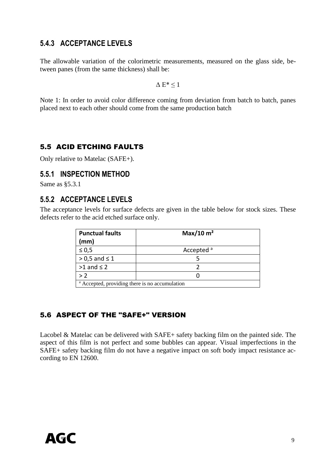## **5.4.3 ACCEPTANCE LEVELS**

The allowable variation of the colorimetric measurements, measured on the glass side, between panes (from the same thickness) shall be:

 $\Delta E^* \leq 1$ 

Note 1: In order to avoid color difference coming from deviation from batch to batch, panes placed next to each other should come from the same production batch

#### <span id="page-8-0"></span>5.5 ACID ETCHING FAULTS

Only relative to Matelac (SAFE+).

#### **5.5.1 INSPECTION METHOD**

Same as §5.3.1

#### **5.5.2 ACCEPTANCE LEVELS**

The acceptance levels for surface defects are given in the table below for stock sizes. These defects refer to the acid etched surface only.

| <b>Punctual faults</b>                                    | Max/10 m <sup>2</sup> |  |
|-----------------------------------------------------------|-----------------------|--|
| (mm)                                                      |                       |  |
| $\leq 0.5$                                                | Accepted <sup>a</sup> |  |
| $> 0.5$ and $\leq 1$                                      |                       |  |
| $>1$ and $\leq 2$                                         |                       |  |
| > 2                                                       |                       |  |
| <sup>a</sup> Accepted, providing there is no accumulation |                       |  |

#### <span id="page-8-1"></span>5.6 ASPECT OF THE "SAFE+" VERSION

Lacobel & Matelac can be delivered with SAFE+ safety backing film on the painted side. The aspect of this film is not perfect and some bubbles can appear. Visual imperfections in the SAFE+ safety backing film do not have a negative impact on soft body impact resistance according to EN 12600.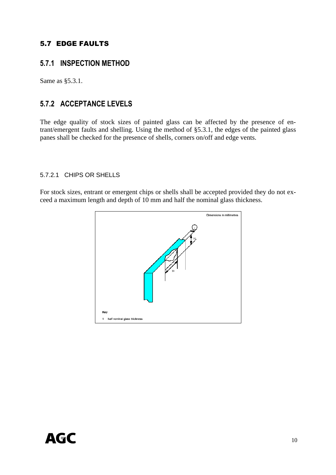#### <span id="page-9-0"></span>5.7 EDGE FAULTS

## **5.7.1 INSPECTION METHOD**

Same as §5.3.1.

## **5.7.2 ACCEPTANCE LEVELS**

The edge quality of stock sizes of painted glass can be affected by the presence of entrant/emergent faults and shelling. Using the method of §5.3.1, the edges of the painted glass panes shall be checked for the presence of shells, corners on/off and edge vents.

#### 5.7.2.1 CHIPS OR SHELLS

For stock sizes, entrant or emergent chips or shells shall be accepted provided they do not exceed a maximum length and depth of 10 mm and half the nominal glass thickness.

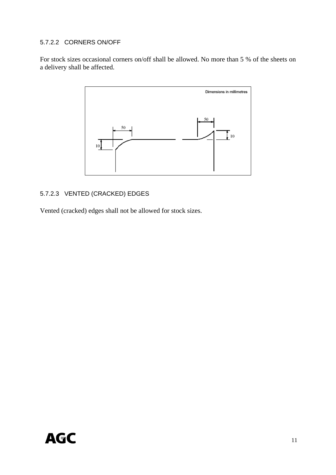#### 5.7.2.2 CORNERS ON/OFF

For stock sizes occasional corners on/off shall be allowed. No more than 5 % of the sheets on a delivery shall be affected.



#### 5.7.2.3 VENTED (CRACKED) EDGES

Vented (cracked) edges shall not be allowed for stock sizes.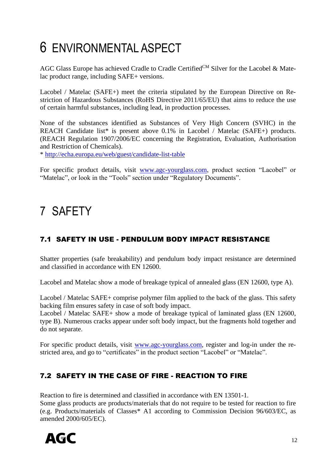# <span id="page-11-0"></span>6 ENVIRONMENTAL ASPECT

AGC Glass Europe has achieved Cradle to Cradle Certified<sup>CM</sup> Silver for the Lacobel & Matelac product range, including SAFE+ versions.

Lacobel / Matelac (SAFE+) meet the criteria stipulated by the European Directive on Restriction of Hazardous Substances (RoHS Directive 2011/65/EU) that aims to reduce the use of certain harmful substances, including lead, in production processes.

None of the substances identified as Substances of Very High Concern (SVHC) in the REACH Candidate list\* is present above 0.1% in Lacobel / Matelac (SAFE+) products. (REACH Regulation 1907/2006/EC concerning the Registration, Evaluation, Authorisation and Restriction of Chemicals).

\*<http://echa.europa.eu/web/guest/candidate-list-table>

For specific product details, visit [www.agc-yourglass.com,](http://www.agc-yourglass.com/) product section "Lacobel" or "Matelac", or look in the "Tools" section under "Regulatory Documents".

# <span id="page-11-1"></span>7 SAFETY

## <span id="page-11-2"></span>7.1 SAFETY IN USE - PENDULUM BODY IMPACT RESISTANCE

Shatter properties (safe breakability) and pendulum body impact resistance are determined and classified in accordance with EN 12600.

Lacobel and Matelac show a mode of breakage typical of annealed glass (EN 12600, type A).

Lacobel / Matelac SAFE+ comprise polymer film applied to the back of the glass. This safety backing film ensures safety in case of soft body impact.

Lacobel / Matelac SAFE+ show a mode of breakage typical of laminated glass (EN 12600, type B). Numerous cracks appear under soft body impact, but the fragments hold together and do not separate.

For specific product details, visit [www.agc-yourglass.com,](http://www.agc-yourglass.com/) register and log-in under the restricted area, and go to "certificates" in the product section "Lacobel" or "Matelac".

#### <span id="page-11-3"></span>7.2 SAFETY IN THE CASE OF FIRE - REACTION TO FIRE

Reaction to fire is determined and classified in accordance with EN 13501-1.

Some glass products are products/materials that do not require to be tested for reaction to fire (e.g. Products/materials of Classes\* A1 according to Commission Decision 96/603/EC, as amended 2000/605/EC).